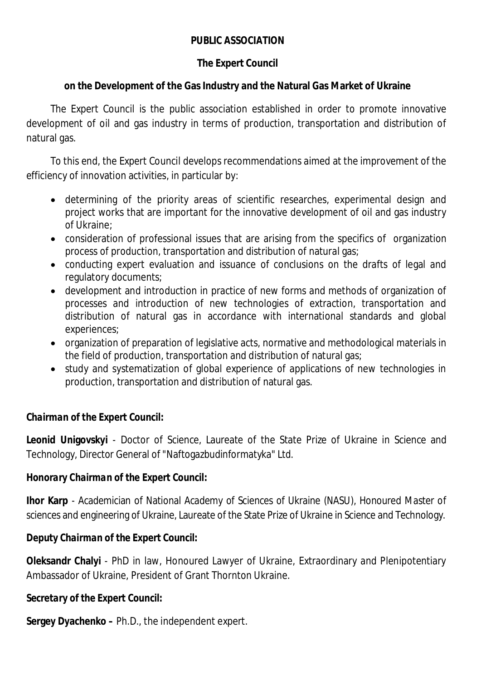## **PUBLIC ASSOCIATION**

## **The Expert Council**

**on the Development of the Gas Industry and the Natural Gas Market of Ukraine** 

The Expert Council is the public association established in order to promote innovative development of oil and gas industry in terms of production, transportation and distribution of natural gas.

To this end, the Expert Council develops recommendations aimed at the improvement of the efficiency of innovation activities, in particular by:

- · determining of the priority areas of scientific researches, experimental design and project works that are important for the innovative development of oil and gas industry of Ukraine;
- · consideration of professional issues that are arising from the specifics of organization process of production, transportation and distribution of natural gas;
- · conducting expert evaluation and issuance of conclusions on the drafts of legal and regulatory documents;
- · development and introduction in practice of new forms and methods of organization of processes and introduction of new technologies of extraction, transportation and distribution of natural gas in accordance with international standards and global experiences;
- · organization of preparation of legislative acts, normative and methodological materials in the field of production, transportation and distribution of natural gas;
- study and systematization of global experience of applications of new technologies in production, transportation and distribution of natural gas.

# *Chairman of the Expert Council***:**

**Leonid Unigovskyi** - Doctor of Science, Laureate of the State Prize of Ukraine in Science and Technology, Director General of "Naftogazbudinformatyka" Ltd.

## *Honorary Chairman of the Expert Council***:**

**Ihor Karp** - Academician of National Academy of Sciences of Ukraine (NASU), Honoured Master of sciences and engineering of Ukraine, Laureate of the State Prize of Ukraine in Science and Technology.

## *Deputy Chairman of the Expert Council***:**

**Oleksandr Chalyi** - PhD in law, Honoured Lawyer of Ukraine, Extraordinary and Plenipotentiary Ambassador of Ukraine, President of Grant Thornton Ukraine.

## *Secretary of the Expert Council***:**

**Sergey Dyachenko –** Ph.D., the independent expert.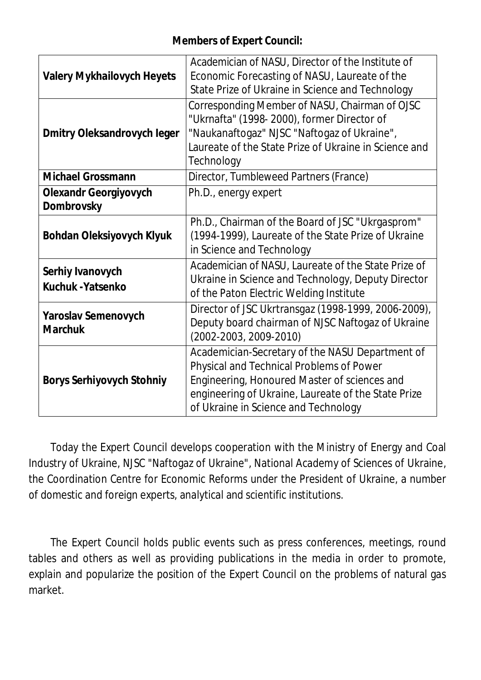**Members of Expert Council:** 

| Valery Mykhailovych Heyets            | Academician of NASU, Director of the Institute of<br>Economic Forecasting of NASU, Laureate of the<br>State Prize of Ukraine in Science and Technology                                                                                     |
|---------------------------------------|--------------------------------------------------------------------------------------------------------------------------------------------------------------------------------------------------------------------------------------------|
| Dmitry Oleksandrovych leger           | Corresponding Member of NASU, Chairman of OJSC<br>"Ukrnafta" (1998-2000), former Director of<br>"Naukanaftogaz" NJSC "Naftogaz of Ukraine",<br>Laureate of the State Prize of Ukraine in Science and<br>Technology                         |
| <b>Michael Grossmann</b>              | Director, Tumbleweed Partners (France)                                                                                                                                                                                                     |
| Olexandr Georgiyovych<br>Dombrovsky   | Ph.D., energy expert                                                                                                                                                                                                                       |
| Bohdan Oleksiyovych Klyuk             | Ph.D., Chairman of the Board of JSC "Ukrgasprom"<br>(1994-1999), Laureate of the State Prize of Ukraine<br>in Science and Technology                                                                                                       |
| Serhiy Ivanovych<br>Kuchuk - Yatsenko | Academician of NASU, Laureate of the State Prize of<br>Ukraine in Science and Technology, Deputy Director<br>of the Paton Electric Welding Institute                                                                                       |
| Yaroslav Semenovych<br>Marchuk        | Director of JSC Ukrtransgaz (1998-1999, 2006-2009),<br>Deputy board chairman of NJSC Naftogaz of Ukraine<br>$(2002 - 2003, 2009 - 2010)$                                                                                                   |
| Borys Serhiyovych Stohniy             | Academician-Secretary of the NASU Department of<br>Physical and Technical Problems of Power<br>Engineering, Honoured Master of sciences and<br>engineering of Ukraine, Laureate of the State Prize<br>of Ukraine in Science and Technology |

Today the Expert Council develops cooperation with the Ministry of Energy and Coal Industry of Ukraine, NJSC "Naftogaz of Ukraine", National Academy of Sciences of Ukraine, the Coordination Centre for Economic Reforms under the President of Ukraine, a number of domestic and foreign experts, analytical and scientific institutions.

The Expert Council holds public events such as press conferences, meetings, round tables and others as well as providing publications in the media in order to promote, explain and popularize the position of the Expert Council on the problems of natural gas market.